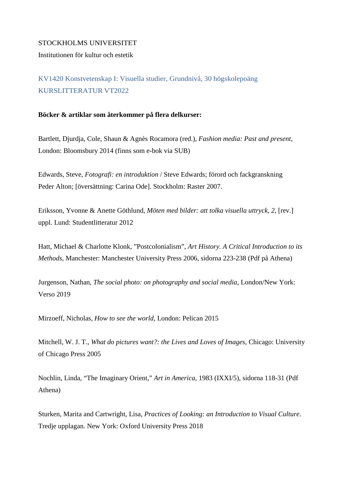## STOCKHOLMS UNIVERSITET

Institutionen för kultur och estetik

KV1420 Konstvetenskap I: Visuella studier, Grundnivå, 30 högskolepoäng KURSLITTERATUR VT2022

### **Böcker & artiklar som återkommer på flera delkurser:**

Bartlett, Djurdja, Cole, Shaun & Agnès Rocamora (red.), *Fashion media: Past and present*, London: Bloomsbury 2014 (finns som e-bok via SUB)

Edwards, Steve, *Fotografi: en introduktion* / Steve Edwards; förord och fackgranskning Peder Alton; [översättning: Carina Ode]. Stockholm: Raster 2007.

Eriksson, Yvonne & Anette Göthlund, *Möten med bilder: att tolka visuella uttryck, 2*, [rev.] uppl. Lund: Studentlitteratur 2012

Hatt, Michael & Charlotte Klonk, "Postcolonialism", *Art History. A Critical Introduction to its Methods*, Manchester: Manchester University Press 2006, sidorna 223-238 (Pdf på Athena)

Jurgenson, Nathan, *The social photo: on photography and social media*, London/New York: Verso 2019

Mirzoeff, Nicholas, *How to see the world*, London: Pelican 2015

Mitchell, W. J. T., *What do pictures want?: the Lives and Loves of Images*, Chicago: University of Chicago Press 2005

Nochlin, Linda, "The Imaginary Orient," *Art in America*, 1983 (IXXI/5), sidorna 118-31 (Pdf Athena)

Sturken, Marita and Cartwright, Lisa, *Practices of Looking: an Introduction to Visual Culture*. Tredje upplagan. New York: Oxford University Press 2018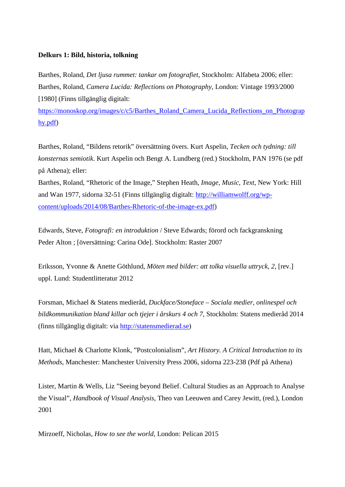## **Delkurs 1: Bild, historia, tolkning**

Barthes, Roland, *Det ljusa rummet: tankar om fotografiet*, Stockholm: Alfabeta 2006; eller: Barthes, Roland, *Camera Lucida: Reflections on Photography*, London: Vintage 1993/2000 [1980] (Finns tillgänglig digitalt:

[https://monoskop.org/images/c/c5/Barthes\\_Roland\\_Camera\\_Lucida\\_Reflections\\_on\\_Photograp](https://monoskop.org/images/c/c5/Barthes_Roland_Camera_Lucida_Reflections_on_Photography.pdf) [hy.pdf\)](https://monoskop.org/images/c/c5/Barthes_Roland_Camera_Lucida_Reflections_on_Photography.pdf)

Barthes, Roland, "Bildens retorik" översättning övers. Kurt Aspelin, *Tecken och tydning: till konsternas semiotik*. Kurt Aspelin och Bengt A. Lundberg (red.) Stockholm, PAN 1976 (se pdf på Athena); eller:

Barthes, Roland, "Rhetoric of the Image," Stephen Heath, *Image, Music, Text*, New York: Hill and Wan 1977, sidorna 32-51 (Finns tillgänglig digitalt: [http://williamwolff.org/wp](http://williamwolff.org/wp-content/uploads/2014/08/Barthes-Rhetoric-of-the-image-ex.pdf)[content/uploads/2014/08/Barthes-Rhetoric-of-the-image-ex.pdf\)](http://williamwolff.org/wp-content/uploads/2014/08/Barthes-Rhetoric-of-the-image-ex.pdf)

Edwards, Steve, *Fotografi: en introduktion* / Steve Edwards; förord och fackgranskning Peder Alton ; [översättning: Carina Ode]. Stockholm: Raster 2007

Eriksson, Yvonne & Anette Göthlund, *Möten med bilder: att tolka visuella uttryck, 2*, [rev.] uppl. Lund: Studentlitteratur 2012

Forsman, Michael & Statens medieråd, *Duckface/Stoneface – Sociala medier, onlinespel och bildkommunikation bland killar och tjejer i årskurs 4 och 7*, Stockholm: Statens medieråd 2014 (finns tillgänglig digitalt: via [http://statensmedierad.se\)](http://statensmedierad.se/)

Hatt, Michael & Charlotte Klonk, "Postcolonialism", *Art History. A Critical Introduction to its Methods*, Manchester: Manchester University Press 2006, sidorna 223-238 (Pdf på Athena)

Lister, Martin & Wells, Liz "Seeing beyond Belief. Cultural Studies as an Approach to Analyse the Visual", *Handbook of Visual Analysis*, Theo van Leeuwen and Carey Jewitt, (red.), London 2001

Mirzoeff, Nicholas, *How to see the world*, London: Pelican 2015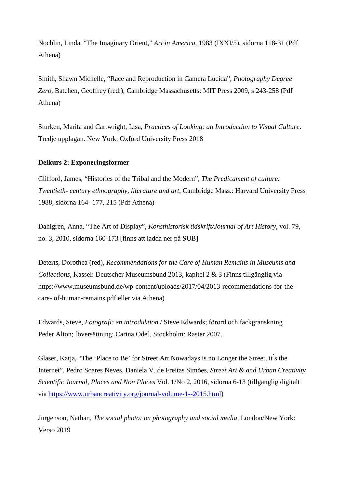Nochlin, Linda, "The Imaginary Orient," *Art in America*, 1983 (IXXI/5), sidorna 118-31 (Pdf Athena)

Smith, Shawn Michelle, "Race and Reproduction in Camera Lucida", *Photography Degree Zero*, Batchen, Geoffrey (red.), Cambridge Massachusetts: MIT Press 2009, s 243-258 (Pdf Athena)

Sturken, Marita and Cartwright, Lisa, *Practices of Looking: an Introduction to Visual Culture*. Tredje upplagan. New York: Oxford University Press 2018

# **Delkurs 2: Exponeringsformer**

Clifford, James, "Histories of the Tribal and the Modern", *The Predicament of culture: Twentieth- century ethnography, literature and art*, Cambridge Mass.: Harvard University Press 1988, sidorna 164- 177, 215 (Pdf Athena)

Dahlgren, Anna, "The Art of Display", *Konsthistorisk tidskrift/Journal of Art History*, vol. 79, no. 3, 2010, sidorna 160-173 [finns att ladda ner på SUB]

Deterts, Dorothea (red), *Recommendations for the Care of Human Remains in Museums and Collections*, Kassel: Deutscher Museumsbund 2013, kapitel 2 & 3 (Finns tillgänglig via https://www.museumsbund.de/wp-content/uploads/2017/04/2013-recommendations-for-thecare- of-human-remains.pdf eller via Athena)

Edwards, Steve, *Fotografi: en introduktion* / Steve Edwards; förord och fackgranskning Peder Alton; [översättning: Carina Ode], Stockholm: Raster 2007.

Glaser, Katja, "The 'Place to Be' for Street Art Nowadays is no Longer the Street, it ́s the Internet", Pedro Soares Neves, Daniela V. de Freitas Simões, *Street Art & and Urban Creativity Scientific Journal, Places and Non Places* Vol. 1/No 2, 2016, sidorna 6-13 (tillgänglig digitalt via [https://www.urbancreativity.org/journal-volume-1--2015.html\)](https://www.urbancreativity.org/journal-volume-1--2015.html)

Jurgenson, Nathan, *The social photo: on photography and social media*, London/New York: Verso 2019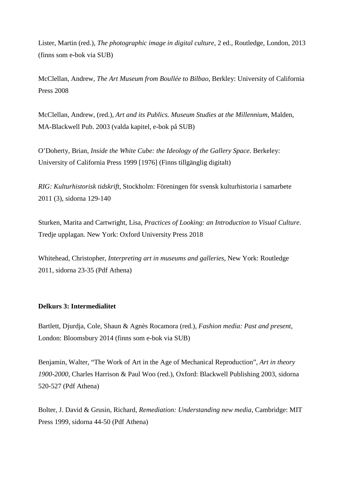Lister, Martin (red.), *The photographic image in digital culture*, 2 ed., Routledge, London, 2013 (finns som e-bok via SUB)

McClellan, Andrew, *The Art Museum from Boullée to Bilbao*, Berkley: University of California Press 2008

McClellan, Andrew, (red.), *Art and its Publics. Museum Studies at the Millennium*, Malden, MA-Blackwell Pub. 2003 (valda kapitel, e-bok på SUB)

O'Doherty, Brian, *Inside the White Cube: the Ideology of the Gallery Space*. Berkeley: University of California Press 1999 [1976] (Finns tillgänglig digitalt)

*RIG: Kulturhistorisk tidskrift*, Stockholm: Föreningen för svensk kulturhistoria i samarbete 2011 (3), sidorna 129-140

Sturken, Marita and Cartwright, Lisa, *Practices of Looking: an Introduction to Visual Culture*. Tredje upplagan. New York: Oxford University Press 2018

Whitehead, Christopher, *Interpreting art in museums and galleries*, New York: Routledge 2011, sidorna 23-35 (Pdf Athena)

## **Delkurs 3: Intermedialitet**

Bartlett, Djurdja, Cole, Shaun & Agnès Rocamora (red.), *Fashion media: Past and present*, London: Bloomsbury 2014 (finns som e-bok via SUB)

Benjamin, Walter, "The Work of Art in the Age of Mechanical Reproduction", *Art in theory 1900-2000*, Charles Harrison & Paul Woo (red.), Oxford: Blackwell Publishing 2003, sidorna 520-527 (Pdf Athena)

Bolter, J. David & Grusin, Richard, *Remediation: Understanding new media*, Cambridge: MIT Press 1999, sidorna 44-50 (Pdf Athena)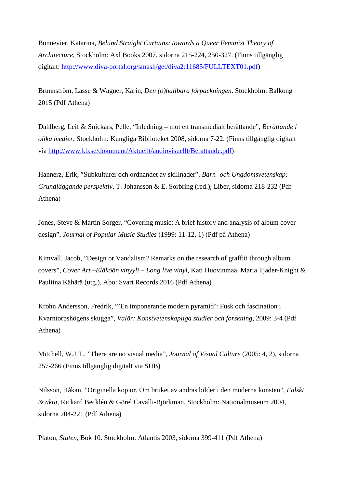Bonnevier, Katarina, *Behind Straight Curtains: towards a Queer Feminist Theory of Architecture*, Stockholm: Axl Books 2007, sidorna 215-224, 250-327. (Finns tillgänglig digitalt: [http://www.diva-portal.org/smash/get/diva2:11685/FULLTEXT01.pdf\)](http://www.diva-portal.org/smash/get/diva2:11685/FULLTEXT01.pdf)

Brunnström, Lasse & Wagner, Karin, *Den (o)hållbara förpackningen*. Stockholm: Balkong 2015 (Pdf Athena)

Dahlberg, Leif & Snickars, Pelle, "Inledning – mot ett transmedialt berättande", *Berättande i olika medier*, Stockholm: Kungliga Biblioteket 2008, sidorna 7-22. (Finns tillgänglig digitalt via [http://www.kb.se/dokument/Aktuellt/audiovisuellt/Berattande.pdf\)](http://www.kb.se/dokument/Aktuellt/audiovisuellt/Berattande.pdf)

Hannerz, Erik, "Subkulturer och ordnandet av skillnader", *Barn- och Ungdomsvetenskap: Grundläggande perspektiv*, T. Johansson & E. Sorbring (red.), Liber, sidorna 218-232 (Pdf Athena)

Jones, Steve & Martin Sorger, "Covering music: A brief history and analysis of album cover design", *Journal of Popular Music Studies* (1999: 11-12, 1) (Pdf på Athena)

Kimvall, Jacob, "Design or Vandalism? Remarks on the research of graffiti through album covers", *Cover Art –Eläköön vinyyli – Long live vinyl*, Kati Huovinmaa, Maria Tjader-Knight & Pauliina Kähärä (utg.), Abo: Svart Records 2016 (Pdf Athena)

Krohn Andersson, Fredrik, "'En imponerande modern pyramid': Fusk och fascination i Kvarntorpshögens skugga", *Valör: Konstvetenskapliga studier och forskning*, 2009: 3-4 (Pdf Athena)

Mitchell, W.J.T., "There are no visual media", *Journal of Visual Culture* (2005: 4, 2), sidorna 257-266 (Finns tillgänglig digitalt via SUB)

Nilsson, Håkan, "Originella kopior. Om bruket av andras bilder i den moderna konsten", *Falskt & äkta*, Rickard Becklén & Görel Cavalli-Björkman, Stockholm: Nationalmuseum 2004, sidorna 204-221 (Pdf Athena)

Platon, *Staten*, Bok 10. Stockholm: Atlantis 2003, sidorna 399-411 (Pdf Athena)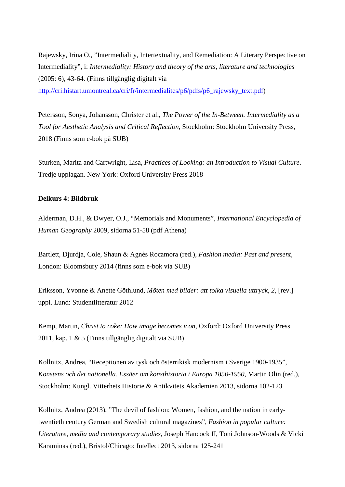Rajewsky, Irina O., "Intermediality, Intertextuality, and Remediation: A Literary Perspective on Intermediality", i: *Intermediality: History and theory of the arts, literature and technologies*  (2005: 6), 43-64. (Finns tillgänglig digitalt via [http://cri.histart.umontreal.ca/cri/fr/intermedialites/p6/pdfs/p6\\_rajewsky\\_text.pdf\)](http://cri.histart.umontreal.ca/cri/fr/intermedialites/p6/pdfs/p6_rajewsky_text.pdf)

Petersson, Sonya, Johansson, Christer et al., *The Power of the In-Between. Intermediality as a Tool for Aesthetic Analysis and Critical Reflection*, Stockholm: Stockholm University Press, 2018 (Finns som e-bok på SUB)

Sturken, Marita and Cartwright, Lisa, *Practices of Looking: an Introduction to Visual Culture*. Tredje upplagan. New York: Oxford University Press 2018

## **Delkurs 4: Bildbruk**

Alderman, D.H., & Dwyer, O.J., "Memorials and Monuments", *International Encyclopedia of Human Geography* 2009, sidorna 51-58 (pdf Athena)

Bartlett, Djurdja, Cole, Shaun & Agnès Rocamora (red.), *Fashion media: Past and present*, London: Bloomsbury 2014 (finns som e-bok via SUB)

Eriksson, Yvonne & Anette Göthlund, *Möten med bilder: att tolka visuella uttryck, 2*, [rev.] uppl. Lund: Studentlitteratur 2012

Kemp, Martin, *Christ to coke: How image becomes icon*, Oxford: Oxford University Press 2011, kap. 1 & 5 (Finns tillgänglig digitalt via SUB)

Kollnitz, Andrea, "Receptionen av tysk och österrikisk modernism i Sverige 1900-1935", *Konstens och det nationella. Essäer om konsthistoria i Europa 1850-1950*, Martin Olin (red.), Stockholm: Kungl. Vitterhets Historie & Antikvitets Akademien 2013, sidorna 102-123

Kollnitz, Andrea (2013), "The devil of fashion: Women, fashion, and the nation in earlytwentieth century German and Swedish cultural magazines", *Fashion in popular culture: Literature, media and contemporary studies*, Joseph Hancock II, Toni Johnson-Woods & Vicki Karaminas (red.), Bristol/Chicago: Intellect 2013, sidorna 125-241